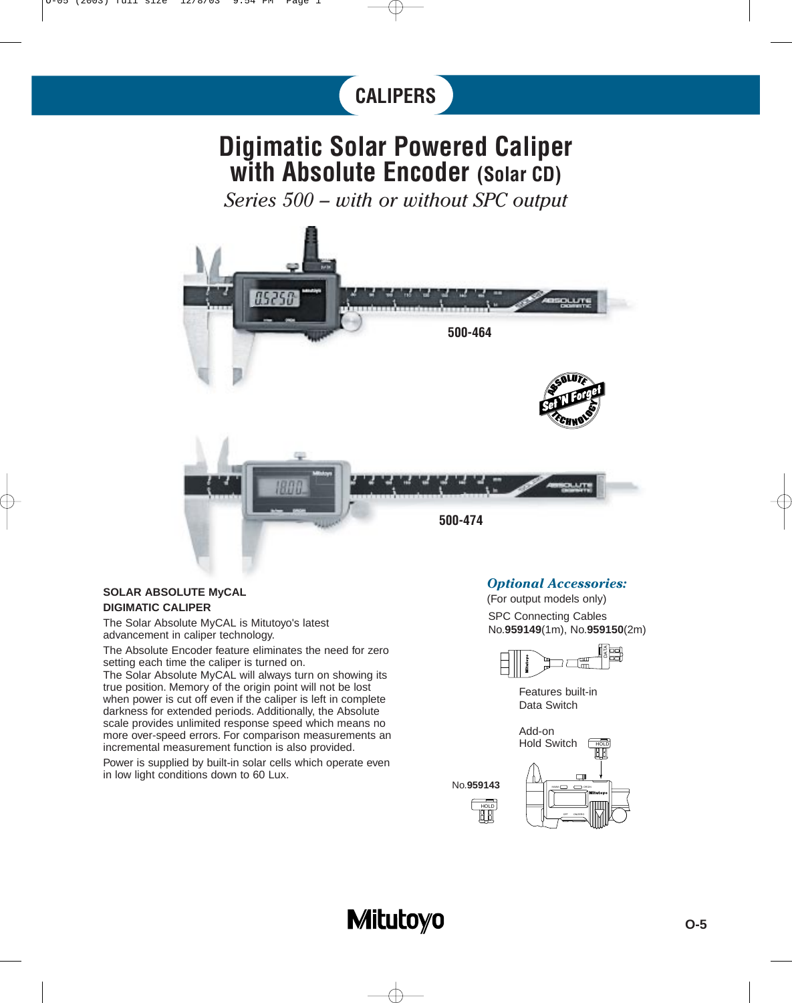# **CALIPERS**

### **Digimatic Solar Powered Caliper with Absolute Encoder (Solar CD)**

*Series 500 – with or without SPC output*



#### **SOLAR ABSOLUTE MyCAL DIGIMATIC CALIPER**

The Solar Absolute MyCAL is Mitutoyo's latest advancement in caliper technology.

The Absolute Encoder feature eliminates the need for zero setting each time the caliper is turned on.

The Solar Absolute MyCAL will always turn on showing its true position. Memory of the origin point will not be lost when power is cut off even if the caliper is left in complete darkness for extended periods. Additionally, the Absolute scale provides unlimited response speed which means no more over-speed errors. For comparison measurements an incremental measurement function is also provided.

Power is supplied by built-in solar cells which operate even in low light conditions down to 60 Lux.

### *Optional Accessories:*

SPC Connecting Cables No.**959149**(1m), No.**959150**(2m) (For output models only)



Features built-in Data Switch



No.**959143**

HOLD



## **Mitutoyo**